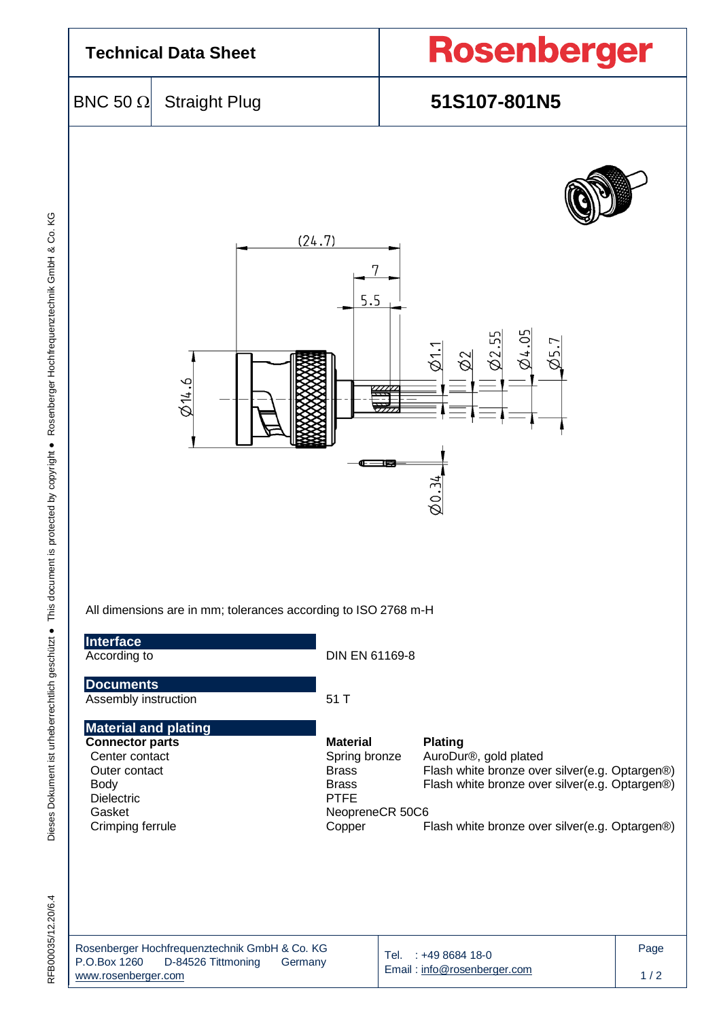